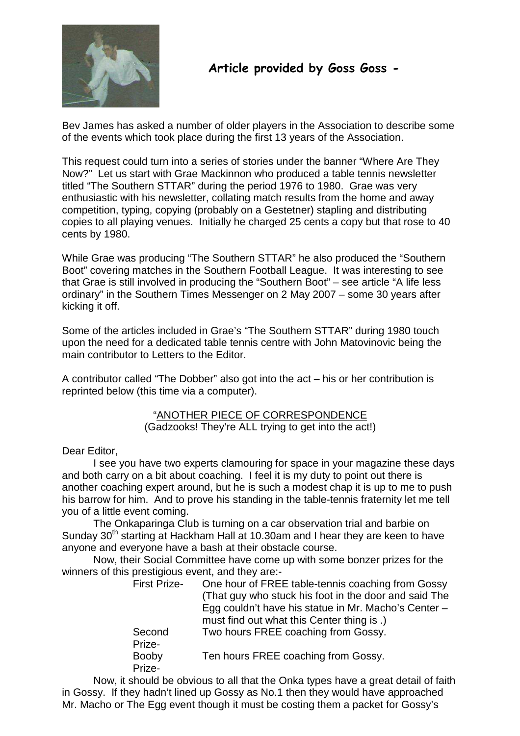

# Article provided by Goss Goss -

Bev James has asked a number of older players in the Association to describe some of the events which took place during the first 13 years of the Association.

This request could turn into a series of stories under the banner "Where Are They Now?" Let us start with Grae Mackinnon who produced a table tennis newsletter titled "The Southern STTAR" during the period 1976 to 1980. Grae was very enthusiastic with his newsletter, collating match results from the home and away competition, typing, copying (probably on a Gestetner) stapling and distributing copies to all playing venues. Initially he charged 25 cents a copy but that rose to 40 cents by 1980.

While Grae was producing "The Southern STTAR" he also produced the "Southern Boot" covering matches in the Southern Football League. It was interesting to see that Grae is still involved in producing the "Southern Boot" – see article "A life less ordinary" in the Southern Times Messenger on 2 May 2007 – some 30 years after kicking it off.

Some of the articles included in Grae's "The Southern STTAR" during 1980 touch upon the need for a dedicated table tennis centre with John Matovinovic being the main contributor to Letters to the Editor.

A contributor called "The Dobber" also got into the act – his or her contribution is reprinted below (this time via a computer).

# "ANOTHER PIECE OF CORRESPONDENCE (Gadzooks! They're ALL trying to get into the act!)

# Dear Editor,

I see you have two experts clamouring for space in your magazine these days and both carry on a bit about coaching. I feel it is my duty to point out there is another coaching expert around, but he is such a modest chap it is up to me to push his barrow for him. And to prove his standing in the table-tennis fraternity let me tell you of a little event coming.

The Onkaparinga Club is turning on a car observation trial and barbie on Sunday 30<sup>th</sup> starting at Hackham Hall at 10.30am and I hear they are keen to have anyone and everyone have a bash at their obstacle course.

Now, their Social Committee have come up with some bonzer prizes for the winners of this prestigious event, and they are:-

| <b>First Prize-</b>    | One hour of FREE table-tennis coaching from Gossy<br>(That guy who stuck his foot in the door and said The<br>Egg couldn't have his statue in Mr. Macho's Center - |
|------------------------|--------------------------------------------------------------------------------------------------------------------------------------------------------------------|
|                        | must find out what this Center thing is.)                                                                                                                          |
| Second<br>Prize-       | Two hours FREE coaching from Gossy.                                                                                                                                |
| <b>Booby</b><br>Prize- | Ten hours FREE coaching from Gossy.                                                                                                                                |
|                        |                                                                                                                                                                    |

Now, it should be obvious to all that the Onka types have a great detail of faith in Gossy. If they hadn't lined up Gossy as No.1 then they would have approached Mr. Macho or The Egg event though it must be costing them a packet for Gossy's